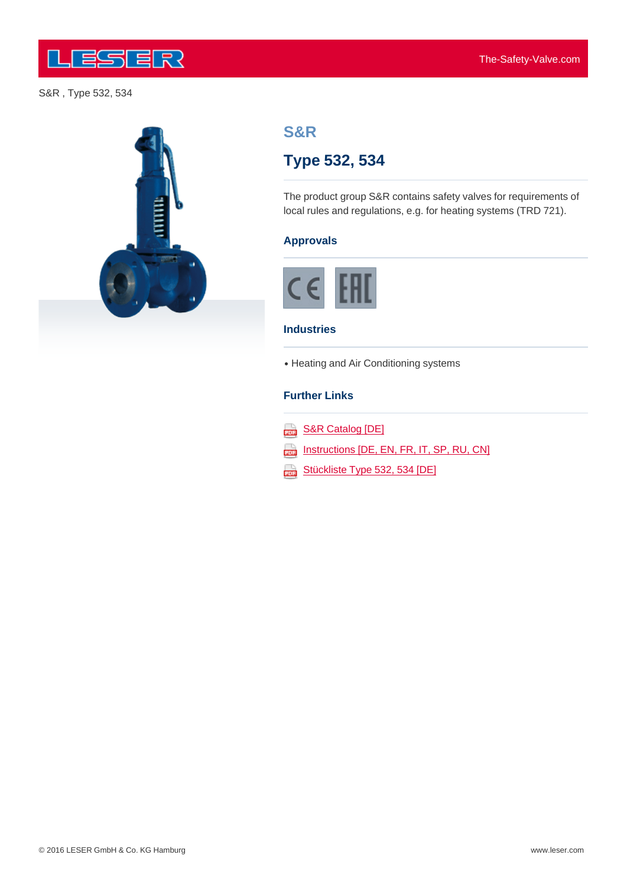

#### S&R , Type 532, 534





# **S&R**

# **Type 532, 534**

The product group S&R contains safety valves for requirements of local rules and regulations, e.g. for heating systems (TRD 721).

# **Approvals**



#### **Industries**

• Heating and Air Conditioning systems

#### **Further Links**

| S&R Catalog [DE] |  |  |
|------------------|--|--|
|                  |  |  |

Instructions [DE, EN, FR, IT, SP, RU, CN]

Stückliste Type 532, 534 [DE]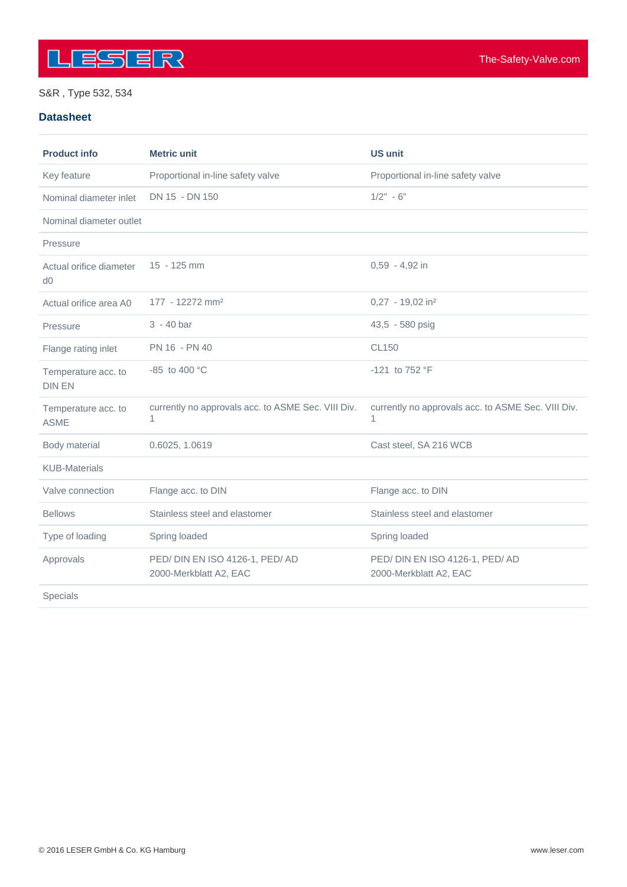

### S&R , Type 532, 534

#### **Datasheet**

| <b>Product info</b>                  | <b>Metric unit</b>                                      | <b>US unit</b>                                          |
|--------------------------------------|---------------------------------------------------------|---------------------------------------------------------|
| Key feature                          | Proportional in-line safety valve                       | Proportional in-line safety valve                       |
| Nominal diameter inlet               | DN 15 - DN 150                                          | $1/2" - 6"$                                             |
| Nominal diameter outlet              |                                                         |                                                         |
| Pressure                             |                                                         |                                                         |
| Actual orifice diameter<br>d0        | 15 - 125 mm                                             | 0,59 - 4,92 in                                          |
| Actual orifice area A0               | 177 - 12272 mm <sup>2</sup>                             | $0,27 - 19,02$ in <sup>2</sup>                          |
| Pressure                             | $3 - 40$ bar                                            | 43,5 - 580 psig                                         |
| Flange rating inlet                  | PN 16 - PN 40                                           | <b>CL150</b>                                            |
| Temperature acc. to<br><b>DIN EN</b> | -85 to 400 $^{\circ}$ C                                 | -121 to 752 °F                                          |
| Temperature acc. to<br><b>ASME</b>   | currently no approvals acc. to ASME Sec. VIII Div.<br>1 | currently no approvals acc. to ASME Sec. VIII Div.<br>1 |
| Body material                        | 0.6025, 1.0619                                          | Cast steel, SA 216 WCB                                  |
| <b>KUB-Materials</b>                 |                                                         |                                                         |
| Valve connection                     | Flange acc. to DIN                                      | Flange acc. to DIN                                      |
| <b>Bellows</b>                       | Stainless steel and elastomer                           | Stainless steel and elastomer                           |
| Type of loading                      | Spring loaded                                           | Spring loaded                                           |
| Approvals                            | PED/DIN EN ISO 4126-1, PED/AD<br>2000-Merkblatt A2, EAC | PED/DIN EN ISO 4126-1, PED/AD<br>2000-Merkblatt A2, EAC |
| Specials                             |                                                         |                                                         |